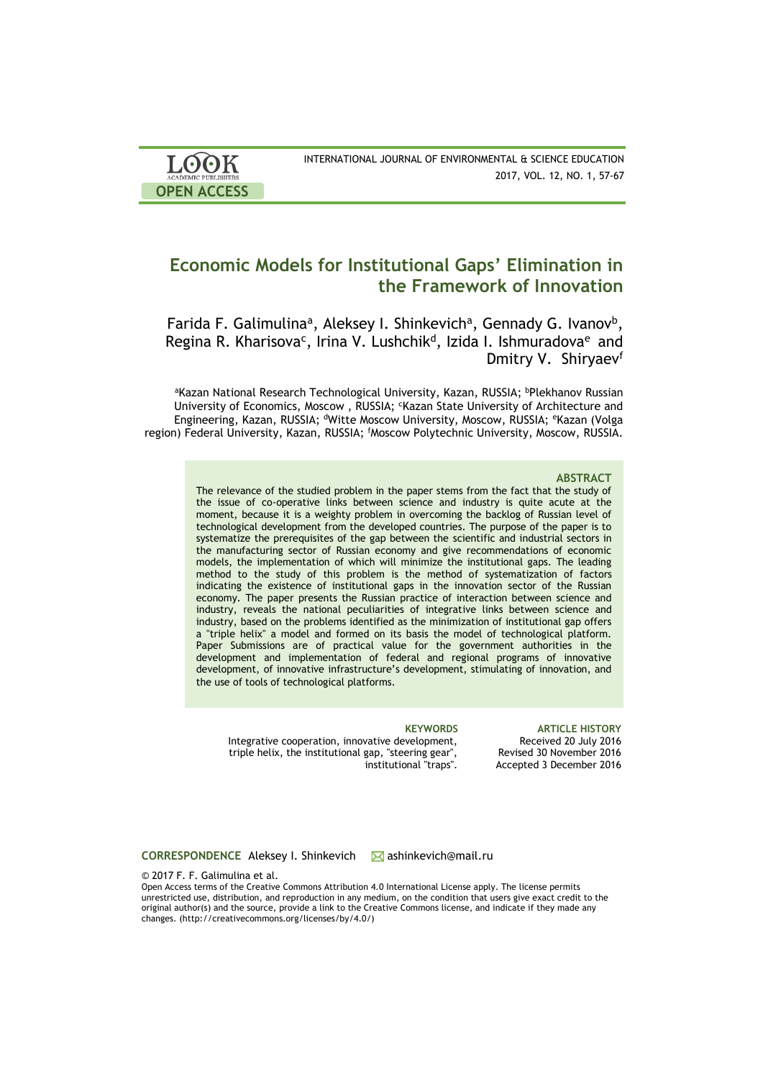| <b>LOOK</b>                | INTERNATIONAL JOURNAL OF ENVIRONMENTAL & SCIENCE EDUCATION |
|----------------------------|------------------------------------------------------------|
| <b>ACADEMIC PUBLISHERS</b> | 2017, VOL. 12, NO. 1, 57-67                                |
| <b>OPEN ACCESS</b>         |                                                            |

# **Economic Models for Institutional Gaps' Elimination in the Framework of Innovation**

Farida F. Galimulina<sup>a</sup>, Aleksey I. Shinkevich<sup>a</sup>, Gennady G. Ivanov<sup>b</sup>, Regina R. Kharisova<sup>c</sup>, Irina V. Lushchik<sup>d</sup>, Izida I. Ishmuradova<sup>e</sup> and Dmitry V. Shirvaev<sup>f</sup>

aKazan National Research Technological University, Kazan, RUSSIA; bPlekhanov Russian University of Economics, Moscow, RUSSIA; 'Kazan State University of Architecture and Engineering, Kazan, RUSSIA; <sup>d</sup>Witte Moscow University, Moscow, RUSSIA; <sup>e</sup>Kazan (Volga region) Federal University, Kazan, RUSSIA; <sup>f</sup>Moscow Polytechnic University, Moscow, RUSSIA.

### **ABSTRACT**

The relevance of the studied problem in the paper stems from the fact that the study of the issue of co-operative links between science and industry is quite acute at the moment, because it is a weighty problem in overcoming the backlog of Russian level of technological development from the developed countries. The purpose of the paper is to systematize the prerequisites of the gap between the scientific and industrial sectors in the manufacturing sector of Russian economy and give recommendations of economic models, the implementation of which will minimize the institutional gaps. The leading method to the study of this problem is the method of systematization of factors indicating the existence of institutional gaps in the innovation sector of the Russian economy. The paper presents the Russian practice of interaction between science and industry, reveals the national peculiarities of integrative links between science and industry, based on the problems identified as the minimization of institutional gap offers a "triple helix" a model and formed on its basis the model of technological platform. Paper Submissions are of practical value for the government authorities in the development and implementation of federal and regional programs of innovative development, of innovative infrastructure's development, stimulating of innovation, and the use of tools of technological platforms.

Integrative cooperation, innovative development, triple helix, the institutional gap, "steering gear", institutional "traps".

**KEYWORDS ARTICLE HISTORY** Received 20 July 2016 Revised 30 November 2016 Accepted 3 December 2016

**CORRESPONDENCE** Aleksey I. Shinkevich Mashinkevich@mail.ru

© 2017 F. F. Galimulina et al.

Open Access terms of the Creative Commons Attribution 4.0 International License apply. The license permits unrestricted use, distribution, and reproduction in any medium, on the condition that users give exact credit to the original author(s) and the source, provide a link to the Creative Commons license, and indicate if they made any changes. (http://creativecommons.org/licenses/by/4.0/)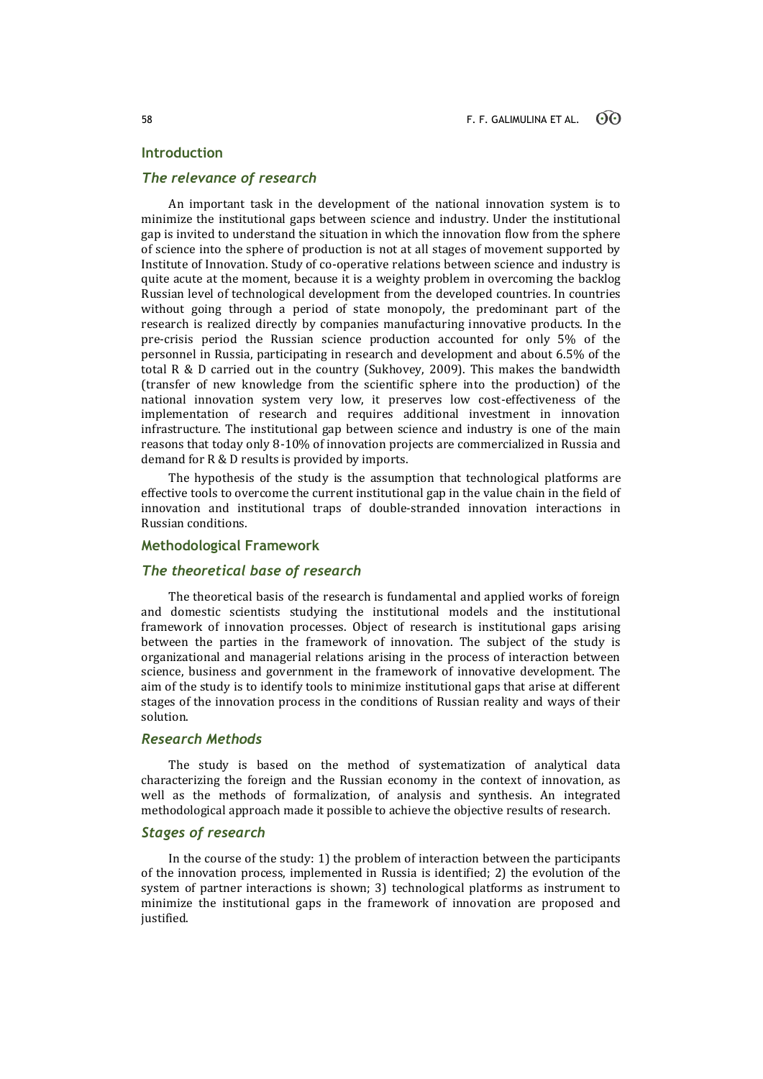# **Introduction**

# *The relevance of research*

An important task in the development of the national innovation system is to minimize the institutional gaps between science and industry. Under the institutional gap is invited to understand the situation in which the innovation flow from the sphere of science into the sphere of production is not at all stages of movement supported by Institute of Innovation. Study of co-operative relations between science and industry is quite acute at the moment, because it is a weighty problem in overcoming the backlog Russian level of technological development from the developed countries. In countries without going through a period of state monopoly, the predominant part of the research is realized directly by companies manufacturing innovative products. In the pre-crisis period the Russian science production accounted for only 5% of the personnel in Russia, participating in research and development and about 6.5% of the total R & D carried out in the country (Sukhovey, 2009). This makes the bandwidth (transfer of new knowledge from the scientific sphere into the production) of the national innovation system very low, it preserves low cost-effectiveness of the implementation of research and requires additional investment in innovation infrastructure. The institutional gap between science and industry is one of the main reasons that today only 8-10% of innovation projects are commercialized in Russia and demand for R & D results is provided by imports.

The hypothesis of the study is the assumption that technological platforms are effective tools to overcome the current institutional gap in the value chain in the field of innovation and institutional traps of double-stranded innovation interactions in Russian conditions.

# **Methodological Framework**

# *The theoretical base of research*

The theoretical basis of the research is fundamental and applied works of foreign and domestic scientists studying the institutional models and the institutional framework of innovation processes. Object of research is institutional gaps arising between the parties in the framework of innovation. The subject of the study is organizational and managerial relations arising in the process of interaction between science, business and government in the framework of innovative development. The aim of the study is to identify tools to minimize institutional gaps that arise at different stages of the innovation process in the conditions of Russian reality and ways of their solution.

# *Research Methods*

The study is based on the method of systematization of analytical data characterizing the foreign and the Russian economy in the context of innovation, as well as the methods of formalization, of analysis and synthesis. An integrated methodological approach made it possible to achieve the objective results of research.

# *Stages of research*

In the course of the study: 1) the problem of interaction between the participants of the innovation process, implemented in Russia is identified; 2) the evolution of the system of partner interactions is shown; 3) technological platforms as instrument to minimize the institutional gaps in the framework of innovation are proposed and justified.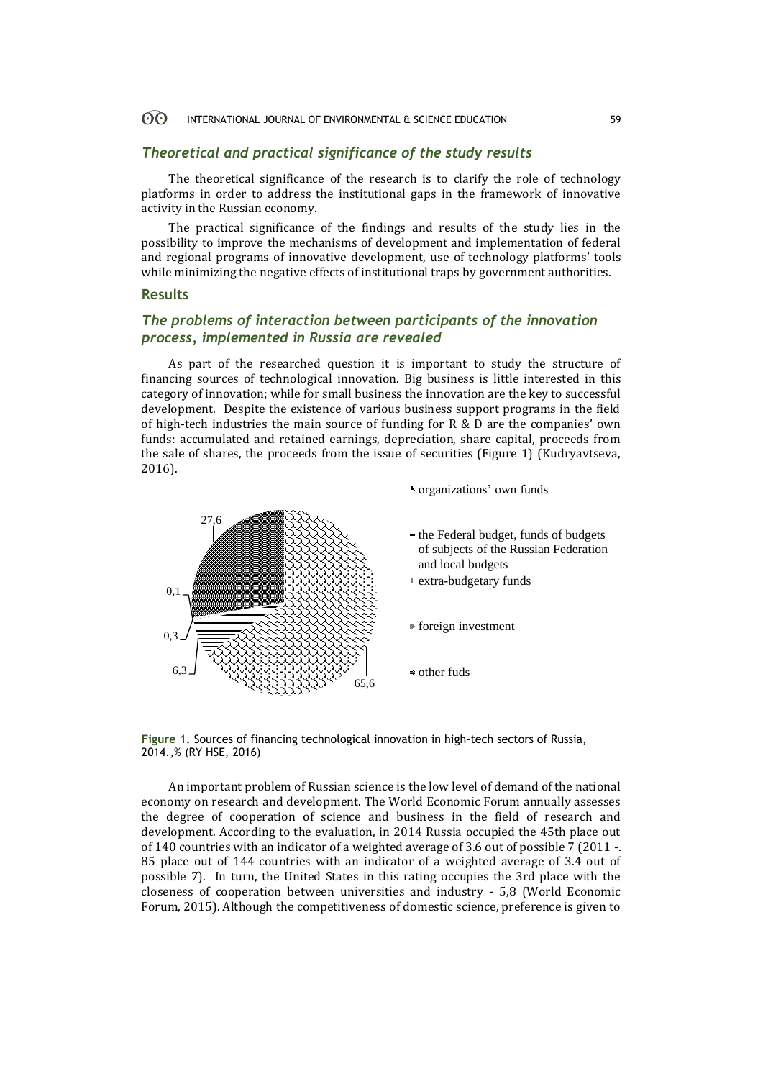#### 60 INTERNATIONAL JOURNAL OF ENVIRONMENTAL & SCIENCE EDUCATION 59

# *Theoretical and practical significance of the study results*

The theoretical significance of the research is to clarify the role of technology platforms in order to address the institutional gaps in the framework of innovative activity in the Russian economy.

The practical significance of the findings and results of the study lies in the possibility to improve the mechanisms of development and implementation of federal and regional programs of innovative development, use of technology platforms' tools while minimizing the negative effects of institutional traps by government authorities.

# **Results**

# *The problems of interaction between participants of the innovation process, implemented in Russia are revealed*

As part of the researched question it is important to study the structure of financing sources of technological innovation. Big business is little interested in this category of innovation; while for small business the innovation are the key to successful development. Despite the existence of various business support programs in the field of high-tech industries the main source of funding for R & D are the companies' own funds: accumulated and retained earnings, depreciation, share capital, proceeds from the sale of shares, the proceeds from the issue of securities (Figure 1) (Kudryavtseva, 2016).

organizations' own funds



**Figure 1.** Sources of financing technological innovation in high-tech sectors of Russia, 2014.,% (RY HSE, 2016)

An important problem of Russian science is the low level of demand of the national economy on research and development. The World Economic Forum annually assesses the degree of cooperation of science and business in the field of research and development. According to the evaluation, in 2014 Russia occupied the 45th place out of 140 countries with an indicator of a weighted average of 3.6 out of possible 7 (2011 -. 85 place out of 144 countries with an indicator of a weighted average of 3.4 out of possible 7). In turn, the United States in this rating occupies the 3rd place with the closeness of cooperation between universities and industry - 5,8 (World Economic Forum, 2015). Although the competitiveness of domestic science, preference is given to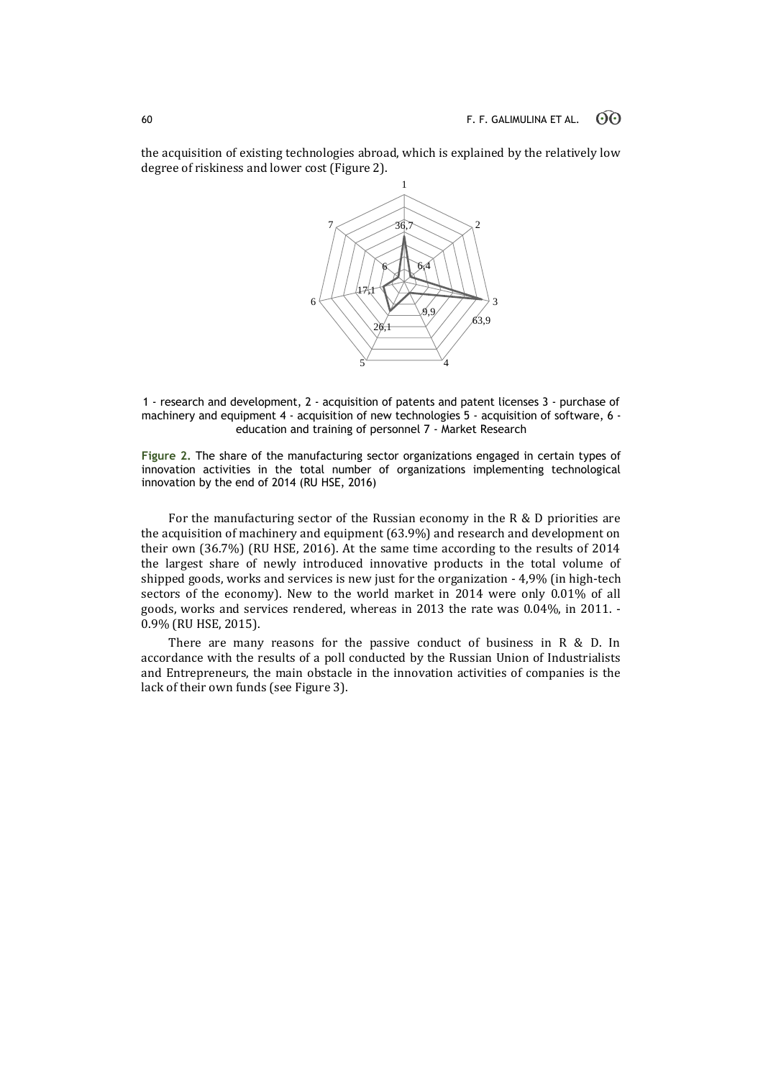the acquisition of existing technologies abroad, which is explained by the relatively low degree of riskiness and lower cost (Figure 2).



1 - research and development, 2 - acquisition of patents and patent licenses 3 - purchase of machinery and equipment 4 - acquisition of new technologies 5 - acquisition of software, 6 education and training of personnel 7 - Market Research

**Figure 2.** The share of the manufacturing sector organizations engaged in certain types of innovation activities in the total number of organizations implementing technological innovation by the end of 2014 (RU HSE, 2016)

For the manufacturing sector of the Russian economy in the R & D priorities are the acquisition of machinery and equipment (63.9%) and research and development on their own (36.7%) (RU HSE, 2016). At the same time according to the results of 2014 the largest share of newly introduced innovative products in the total volume of shipped goods, works and services is new just for the organization - 4,9% (in high-tech sectors of the economy). New to the world market in 2014 were only 0.01% of all goods, works and services rendered, whereas in 2013 the rate was 0.04%, in 2011. - 0.9% (RU HSE, 2015).

There are many reasons for the passive conduct of business in R & D. In accordance with the results of a poll conducted by the Russian Union of Industrialists and Entrepreneurs, the main obstacle in the innovation activities of companies is the lack of their own funds (see Figure 3).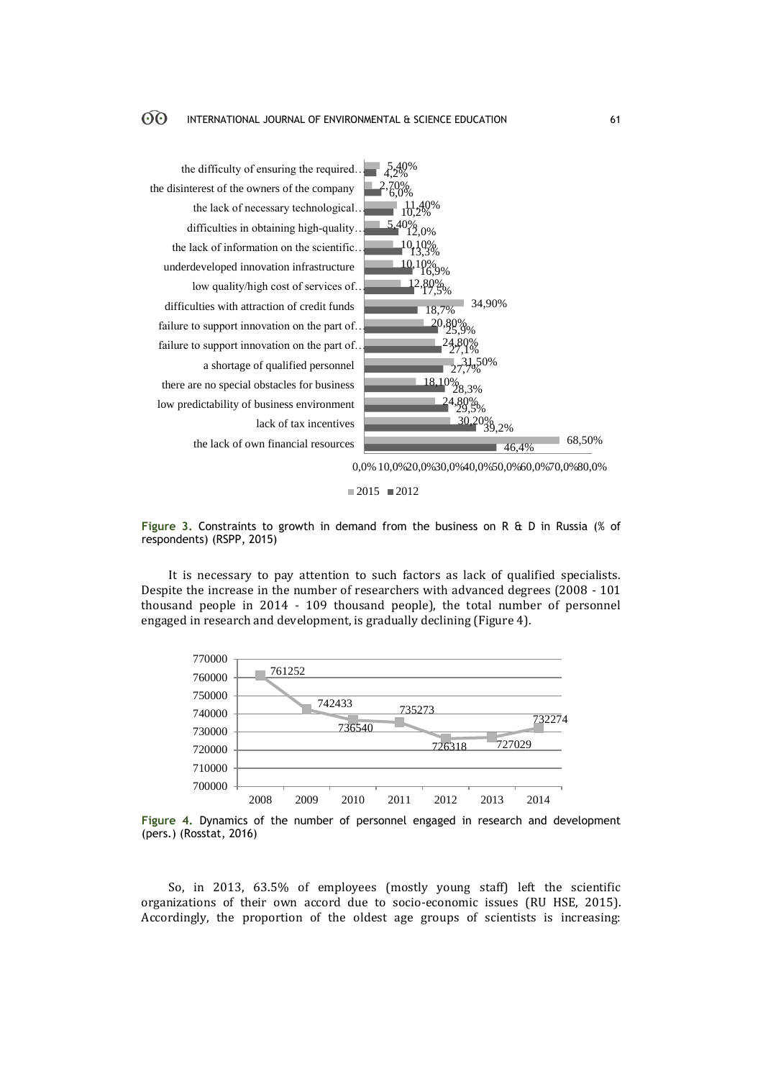

**Figure 3.** Constraints to growth in demand from the business on R & D in Russia (% of respondents) (RSPP, 2015)

 $2015$  2012

It is necessary to pay attention to such factors as lack of qualified specialists. Despite the increase in the number of researchers with advanced degrees (2008 - 101 thousand people in 2014 - 109 thousand people), the total number of personnel engaged in research and development, is gradually declining (Figure 4).



**Figure 4.** Dynamics of the number of personnel engaged in research and development (pers.) (Rosstat, 2016)

So, in 2013, 63.5% of employees (mostly young staff) left the scientific organizations of their own accord due to socio-economic issues (RU HSE, 2015). Accordingly, the proportion of the oldest age groups of scientists is increasing: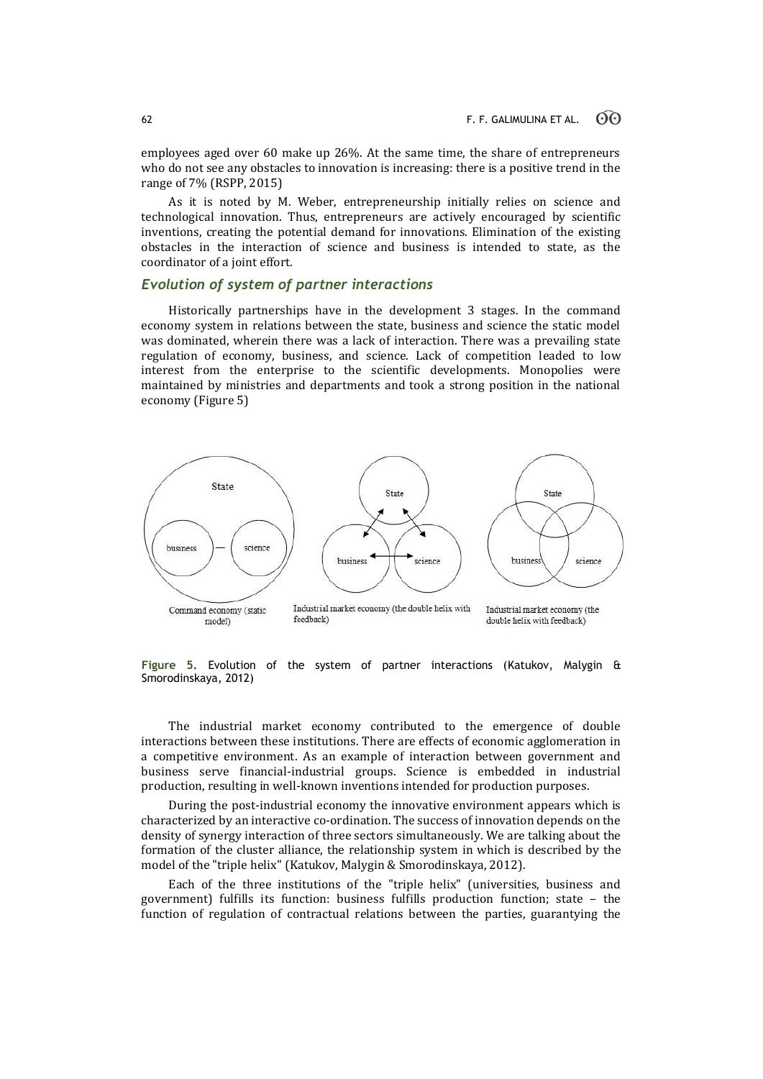employees aged over 60 make up 26%. At the same time, the share of entrepreneurs who do not see any obstacles to innovation is increasing: there is a positive trend in the range of 7% (RSPP, 2015)

As it is noted by M. Weber, entrepreneurship initially relies on science and technological innovation. Thus, entrepreneurs are actively encouraged by scientific inventions, creating the potential demand for innovations. Elimination of the existing obstacles in the interaction of science and business is intended to state, as the coordinator of a joint effort.

# *Evolution of system of partner interactions*

Historically partnerships have in the development 3 stages. In the command economy system in relations between the state, business and science the static model was dominated, wherein there was a lack of interaction. There was a prevailing state regulation of economy, business, and science. Lack of competition leaded to low interest from the enterprise to the scientific developments. Monopolies were maintained by ministries and departments and took a strong position in the national economy (Figure 5)



**Figure 5.** Evolution of the system of partner interactions (Katukov, Malygin & Smorodinskaya, 2012)

The industrial market economy contributed to the emergence of double interactions between these institutions. There are effects of economic agglomeration in a competitive environment. As an example of interaction between government and business serve financial-industrial groups. Science is embedded in industrial production, resulting in well-known inventions intended for production purposes.

During the post-industrial economy the innovative environment appears which is characterized by an interactive co-ordination. The success of innovation depends on the density of synergy interaction of three sectors simultaneously. We are talking about the formation of the cluster alliance, the relationship system in which is described by the model of the "triple helix" (Katukov, Malygin & Smorodinskaya, 2012).

Each of the three institutions of the "triple helix" (universities, business and government) fulfills its function: business fulfills production function; state – the function of regulation of contractual relations between the parties, guarantying the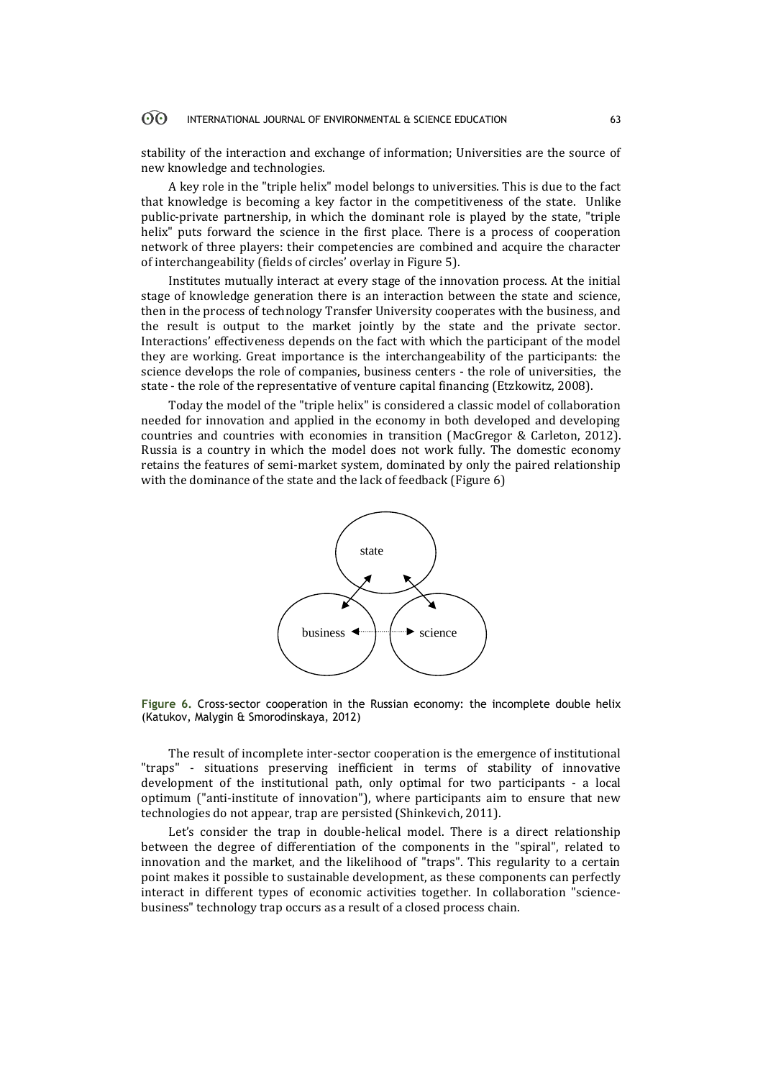#### 60 INTERNATIONAL JOURNAL OF ENVIRONMENTAL & SCIENCE EDUCATION 63

stability of the interaction and exchange of information; Universities are the source of new knowledge and technologies.

A key role in the "triple helix" model belongs to universities. This is due to the fact that knowledge is becoming a key factor in the competitiveness of the state. Unlike public-private partnership, in which the dominant role is played by the state, "triple helix" puts forward the science in the first place. There is a process of cooperation network of three players: their competencies are combined and acquire the character of interchangeability (fields of circles' overlay in Figure 5).

Institutes mutually interact at every stage of the innovation process. At the initial stage of knowledge generation there is an interaction between the state and science, then in the process of technology Transfer University cooperates with the business, and the result is output to the market jointly by the state and the private sector. Interactions' effectiveness depends on the fact with which the participant of the model they are working. Great importance is the interchangeability of the participants: the science develops the role of companies, business centers - the role of universities, the state - the role of the representative of venture capital financing (Etzkowitz, 2008).

Today the model of the "triple helix" is considered a classic model of collaboration needed for innovation and applied in the economy in both developed and developing countries and countries with economies in transition (MacGregor & Carleton, 2012). Russia is a country in which the model does not work fully. The domestic economy retains the features of semi-market system, dominated by only the paired relationship with the dominance of the state and the lack of feedback (Figure 6)



**Figure 6.** Cross-sector cooperation in the Russian economy: the incomplete double helix (Katukov, Malygin & Smorodinskaya, 2012)

The result of incomplete inter-sector cooperation is the emergence of institutional "traps" - situations preserving inefficient in terms of stability of innovative development of the institutional path, only optimal for two participants - a local optimum ("anti-institute of innovation"), where participants aim to ensure that new technologies do not appear, trap are persisted (Shinkevich, 2011).

Let's consider the trap in double-helical model. There is a direct relationship between the degree of differentiation of the components in the "spiral", related to innovation and the market, and the likelihood of "traps". This regularity to a certain point makes it possible to sustainable development, as these components can perfectly interact in different types of economic activities together. In collaboration "sciencebusiness" technology trap occurs as a result of a closed process chain.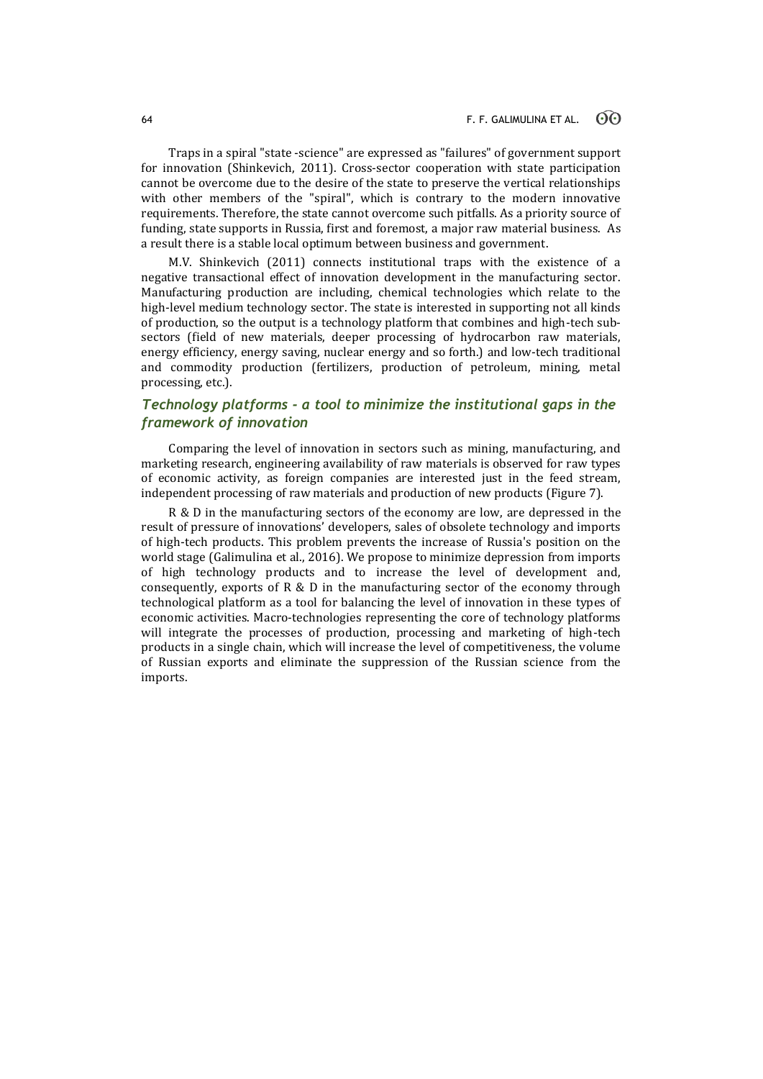Traps in a spiral "state -science" are expressed as "failures" of government support for innovation (Shinkevich, 2011). Cross-sector cooperation with state participation cannot be overcome due to the desire of the state to preserve the vertical relationships with other members of the "spiral", which is contrary to the modern innovative requirements. Therefore, the state cannot overcome such pitfalls. As a priority source of funding, state supports in Russia, first and foremost, a major raw material business. As a result there is a stable local optimum between business and government.

M.V. Shinkevich (2011) connects institutional traps with the existence of a negative transactional effect of innovation development in the manufacturing sector. Manufacturing production are including, chemical technologies which relate to the high-level medium technology sector. The state is interested in supporting not all kinds of production, so the output is a technology platform that combines and high-tech subsectors (field of new materials, deeper processing of hydrocarbon raw materials, energy efficiency, energy saving, nuclear energy and so forth.) and low-tech traditional and commodity production (fertilizers, production of petroleum, mining, metal processing, etc.).

# *Technology platforms - a tool to minimize the institutional gaps in the framework of innovation*

Comparing the level of innovation in sectors such as mining, manufacturing, and marketing research, engineering availability of raw materials is observed for raw types of economic activity, as foreign companies are interested just in the feed stream, independent processing of raw materials and production of new products (Figure 7).

R & D in the manufacturing sectors of the economy are low, are depressed in the result of pressure of innovations' developers, sales of obsolete technology and imports of high-tech products. This problem prevents the increase of Russia's position on the world stage (Galimulina et al., 2016). We propose to minimize depression from imports of high technology products and to increase the level of development and, consequently, exports of R & D in the manufacturing sector of the economy through technological platform as a tool for balancing the level of innovation in these types of economic activities. Macro-technologies representing the core of technology platforms will integrate the processes of production, processing and marketing of high-tech products in a single chain, which will increase the level of competitiveness, the volume of Russian exports and eliminate the suppression of the Russian science from the imports.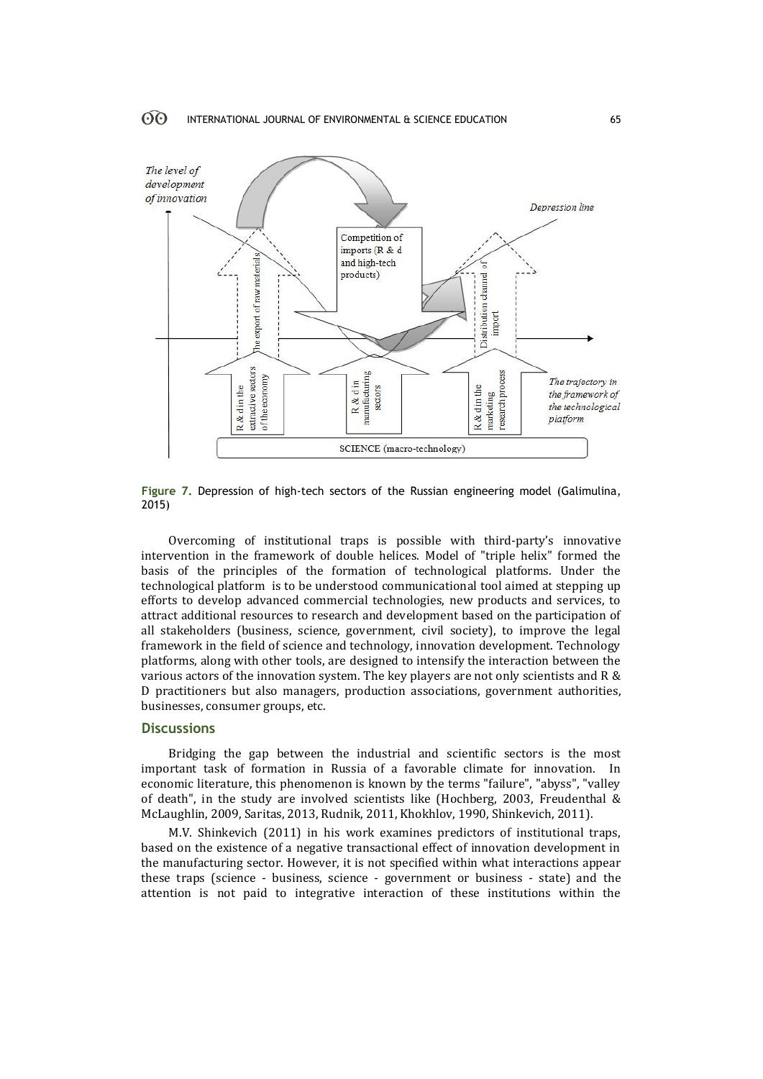

**Figure 7.** Depression of high-tech sectors of the Russian engineering model (Galimulina, 2015)

Overcoming of institutional traps is possible with third-party's innovative intervention in the framework of double helices. Model of "triple helix" formed the basis of the principles of the formation of technological platforms. Under the technological platform is to be understood communicational tool aimed at stepping up efforts to develop advanced commercial technologies, new products and services, to attract additional resources to research and development based on the participation of all stakeholders (business, science, government, civil society), to improve the legal framework in the field of science and technology, innovation development. Technology platforms, along with other tools, are designed to intensify the interaction between the various actors of the innovation system. The key players are not only scientists and R & D practitioners but also managers, production associations, government authorities, businesses, consumer groups, etc.

# **Discussions**

Bridging the gap between the industrial and scientific sectors is the most important task of formation in Russia of a favorable climate for innovation. In economic literature, this phenomenon is known by the terms "failure", "abyss", "valley of death", in the study are involved scientists like (Hochberg, 2003, Freudenthal & McLaughlin, 2009, Saritas, 2013, Rudnik, 2011, Khokhlov, 1990, Shinkevich, 2011).

M.V. Shinkevich (2011) in his work examines predictors of institutional traps, based on the existence of a negative transactional effect of innovation development in the manufacturing sector. However, it is not specified within what interactions appear these traps (science - business, science - government or business - state) and the attention is not paid to integrative interaction of these institutions within the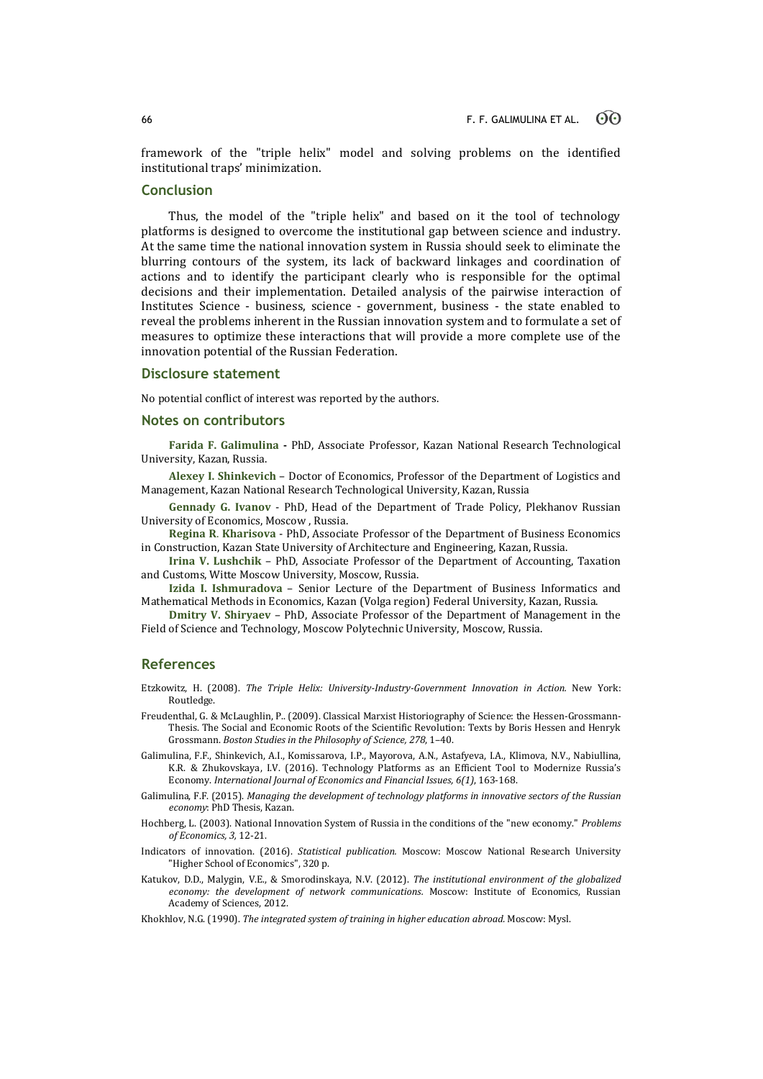framework of the "triple helix" model and solving problems on the identified institutional traps' minimization.

# **Conclusion**

Thus, the model of the "triple helix" and based on it the tool of technology platforms is designed to overcome the institutional gap between science and industry. At the same time the national innovation system in Russia should seek to eliminate the blurring contours of the system, its lack of backward linkages and coordination of actions and to identify the participant clearly who is responsible for the optimal decisions and their implementation. Detailed analysis of the pairwise interaction of Institutes Science - business, science - government, business - the state enabled to reveal the problems inherent in the Russian innovation system and to formulate a set of measures to optimize these interactions that will provide a more complete use of the innovation potential of the Russian Federation.

## **Disclosure statement**

No potential conflict of interest was reported by the authors.

### **Notes on contributors**

**Farida F. Galimulina -** PhD, Associate Professor, Kazan National Research Technological University, Kazan, Russia.

**Alexey I. Shinkevich** – Doctor of Economics, Professor of the Department of Logistics and Management, Kazan National Research Technological University, Kazan, Russia

**Gennady G. Ivanov** - PhD, Head of the Department of Trade Policy, Plekhanov Russian University of Economics, Moscow , Russia.

**Regina R**. **Kharisova** - PhD, Associate Professor of the Department of Business Economics in Construction, Kazan State University of Architecture and Engineering, Kazan, Russia.

**Irina V. Lushchik** – PhD, Associate Professor of the Department of Accounting, Taxation and Customs, Witte Moscow University, Moscow, Russia.

**Izida I. Ishmuradova** – Senior Lecture of the Department of Business Informatics and Mathematical Methods in Economics, Kazan (Volga region) Federal University, Kazan, Russia.

**Dmitry V. Shiryaev** – PhD, Associate Professor of the Department of Management in the Field of Science and Technology, Moscow Polytechnic University, Moscow, Russia.

## **References**

Etzkowitz, H. (2008). *The Triple Helix: University-Industry-Government Innovation in Action.* New York: Routledge.

- Freudenthal, G. & McLaughlin, P.. (2009). Classical Marxist Historiography of Science: the Hessen-Grossmann-Thesis. The Social and Economic Roots of the Scientific Revolution: Texts by Boris Hessen and Henryk Grossmann. *Boston Studies in the Philosophy of Science, 278*, 1–40.
- Galimulina, F.F., Shinkevich, A.I., Komissarova, I.P., Mayorova, A.N., Astafyeva, I.A., Klimova, N.V., Nabiullina, K.R. & Zhukovskaya, I.V. (2016). Technology Platforms as an Efficient Tool to Modernize Russia's Economy. *International Journal of Economics and Financial Issues, 6(1)*, 163-168.
- Galimulina, F.F. (2015). *Managing the development of technology platforms in innovative sectors of the Russian economy*: PhD Thesis, Kazan.
- Hochberg, L. (2003). National Innovation System of Russia in the conditions of the "new economy." *Problems of Economics, 3,* 12-21.
- Indicators of innovation. (2016). *Statistical publication.* Moscow: Moscow National Research University "Higher School of Economics", 320 p.
- Katukov, D.D., Malygin, V.E., & Smorodinskaya, N.V. (2012). *The institutional environment of the globalized economy: the development of network communications.* Moscow: Institute of Economics, Russian Academy of Sciences, 2012.

Khokhlov, N.G. (1990). *The integrated system of training in higher education abroad.* Moscow: Mysl.